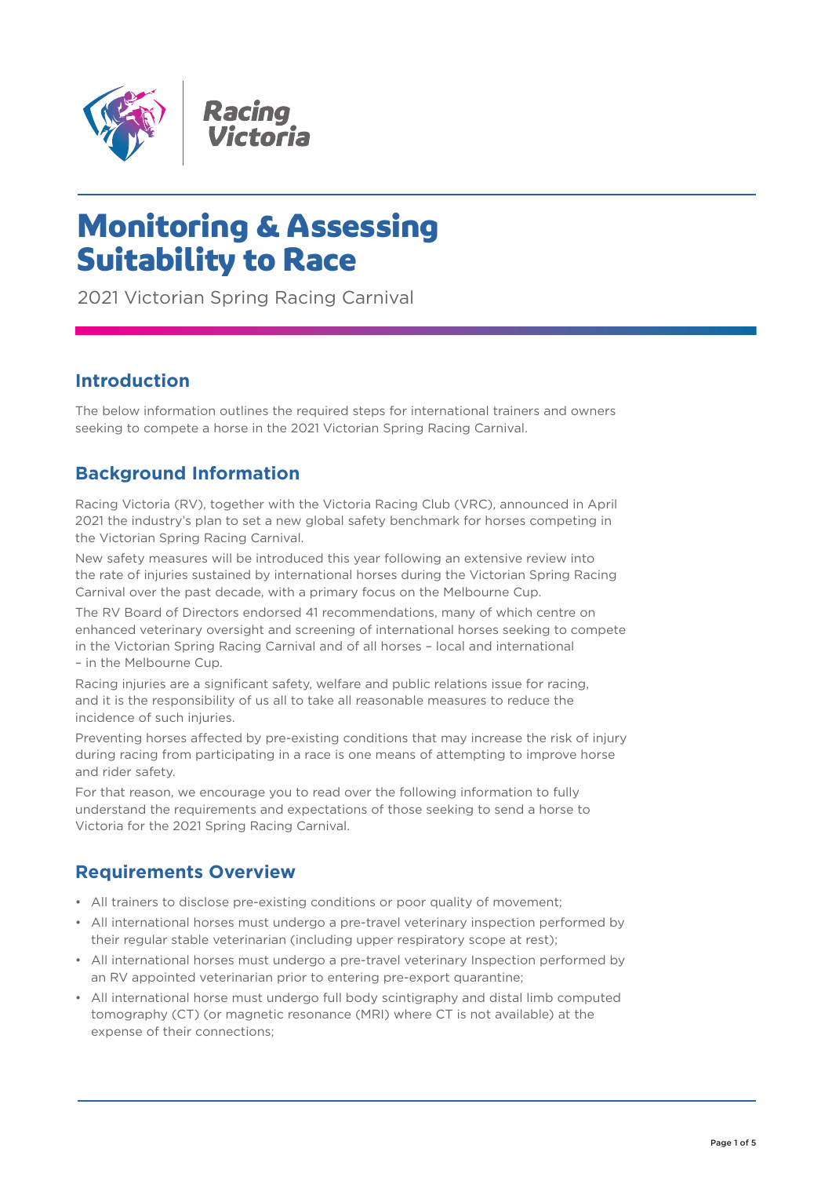

# Monitoring & Assessing Suitability to Race

2021 Victorian Spring Racing Carnival

# **Introduction**

The below information outlines the required steps for international trainers and owners seeking to compete a horse in the 2021 Victorian Spring Racing Carnival.

## **Background Information**

Racing Victoria (RV), together with the Victoria Racing Club (VRC), announced in April 2021 the industry's plan to set a new global safety benchmark for horses competing in the Victorian Spring Racing Carnival.

New safety measures will be introduced this year following an extensive review into the rate of injuries sustained by international horses during the Victorian Spring Racing Carnival over the past decade, with a primary focus on the Melbourne Cup.

The RV Board of Directors endorsed 41 recommendations, many of which centre on enhanced veterinary oversight and screening of international horses seeking to compete in the Victorian Spring Racing Carnival and of all horses – local and international – in the Melbourne Cup.

Racing injuries are a significant safety, welfare and public relations issue for racing, and it is the responsibility of us all to take all reasonable measures to reduce the incidence of such injuries.

Preventing horses affected by pre-existing conditions that may increase the risk of injury during racing from participating in a race is one means of attempting to improve horse and rider safety.

For that reason, we encourage you to read over the following information to fully understand the requirements and expectations of those seeking to send a horse to Victoria for the 2021 Spring Racing Carnival.

## **Requirements Overview**

- All trainers to disclose pre-existing conditions or poor quality of movement;
- All international horses must undergo a pre-travel veterinary inspection performed by their regular stable veterinarian (including upper respiratory scope at rest);
- All international horses must undergo a pre-travel veterinary Inspection performed by an RV appointed veterinarian prior to entering pre-export quarantine;
- All international horse must undergo full body scintigraphy and distal limb computed tomography (CT) (or magnetic resonance (MRI) where CT is not available) at the expense of their connections;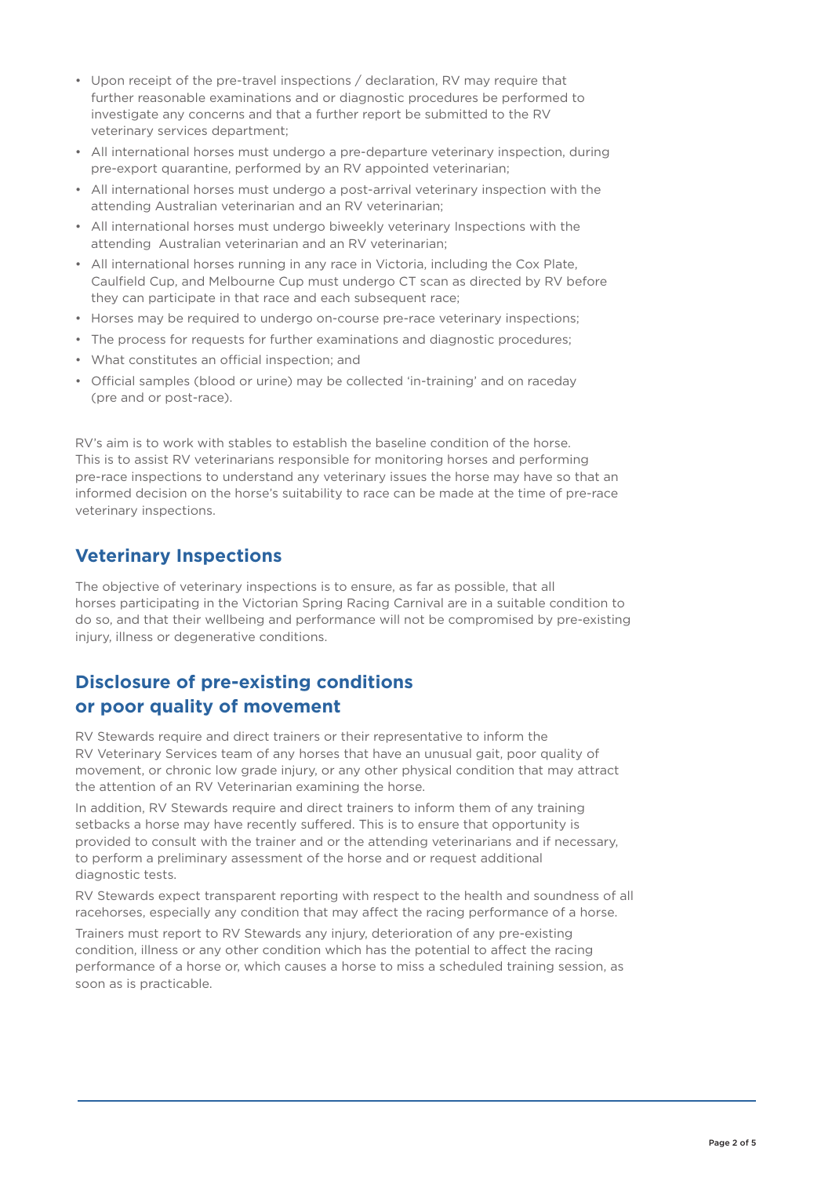- Upon receipt of the pre-travel inspections / declaration, RV may require that further reasonable examinations and or diagnostic procedures be performed to investigate any concerns and that a further report be submitted to the RV veterinary services department;
- All international horses must undergo a pre-departure veterinary inspection, during pre-export quarantine, performed by an RV appointed veterinarian;
- All international horses must undergo a post-arrival veterinary inspection with the attending Australian veterinarian and an RV veterinarian;
- All international horses must undergo biweekly veterinary Inspections with the attending Australian veterinarian and an RV veterinarian;
- All international horses running in any race in Victoria, including the Cox Plate, Caulfield Cup, and Melbourne Cup must undergo CT scan as directed by RV before they can participate in that race and each subsequent race;
- Horses may be required to undergo on-course pre-race veterinary inspections;
- The process for requests for further examinations and diagnostic procedures;
- What constitutes an official inspection; and
- Official samples (blood or urine) may be collected 'in-training' and on raceday (pre and or post-race).

RV's aim is to work with stables to establish the baseline condition of the horse. This is to assist RV veterinarians responsible for monitoring horses and performing pre-race inspections to understand any veterinary issues the horse may have so that an informed decision on the horse's suitability to race can be made at the time of pre-race veterinary inspections.

#### **Veterinary Inspections**

The objective of veterinary inspections is to ensure, as far as possible, that all horses participating in the Victorian Spring Racing Carnival are in a suitable condition to do so, and that their wellbeing and performance will not be compromised by pre-existing injury, illness or degenerative conditions.

## **Disclosure of pre-existing conditions or poor quality of movement**

RV Stewards require and direct trainers or their representative to inform the RV Veterinary Services team of any horses that have an unusual gait, poor quality of movement, or chronic low grade injury, or any other physical condition that may attract the attention of an RV Veterinarian examining the horse.

In addition, RV Stewards require and direct trainers to inform them of any training setbacks a horse may have recently suffered. This is to ensure that opportunity is provided to consult with the trainer and or the attending veterinarians and if necessary, to perform a preliminary assessment of the horse and or request additional diagnostic tests.

RV Stewards expect transparent reporting with respect to the health and soundness of all racehorses, especially any condition that may affect the racing performance of a horse.

Trainers must report to RV Stewards any injury, deterioration of any pre-existing condition, illness or any other condition which has the potential to affect the racing performance of a horse or, which causes a horse to miss a scheduled training session, as soon as is practicable.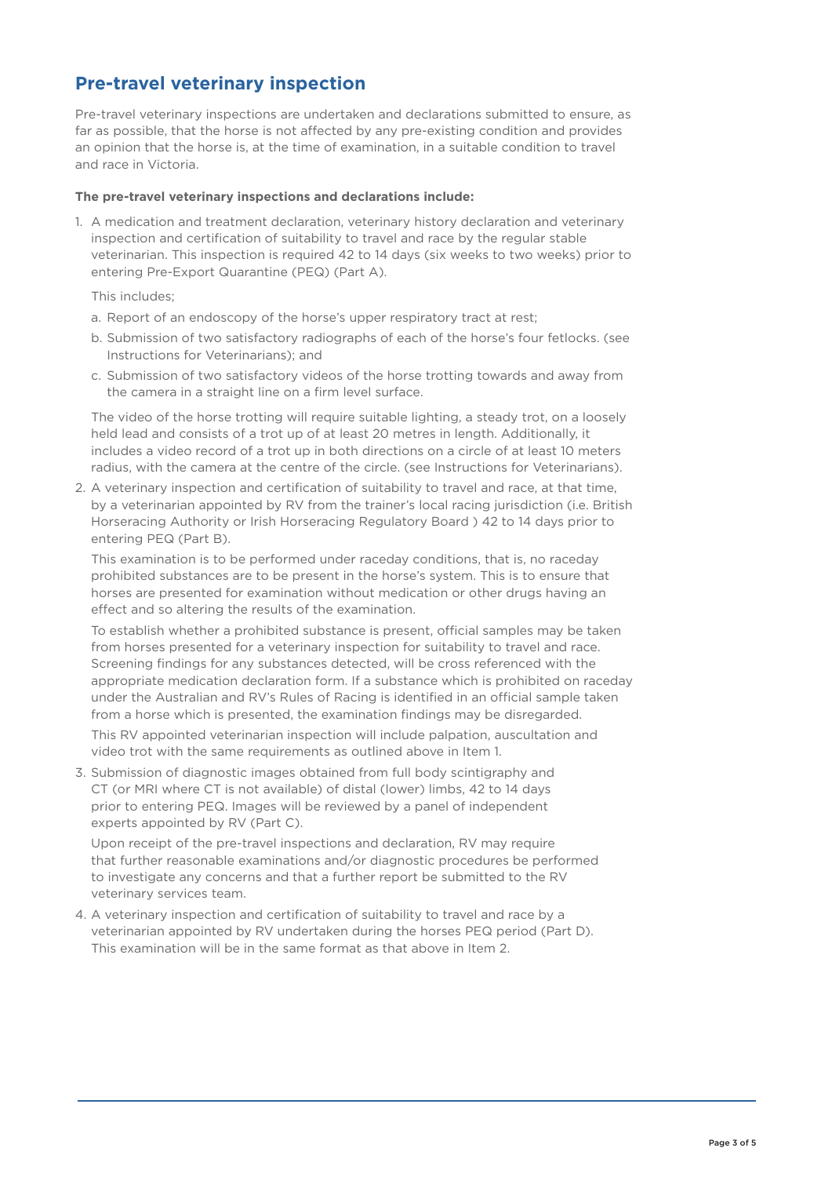# **Pre-travel veterinary inspection**

Pre-travel veterinary inspections are undertaken and declarations submitted to ensure, as far as possible, that the horse is not affected by any pre-existing condition and provides an opinion that the horse is, at the time of examination, in a suitable condition to travel and race in Victoria.

#### **The pre-travel veterinary inspections and declarations include:**

1. A medication and treatment declaration, veterinary history declaration and veterinary inspection and certification of suitability to travel and race by the regular stable veterinarian. This inspection is required 42 to 14 days (six weeks to two weeks) prior to entering Pre-Export Quarantine (PEQ) (Part A).

This includes;

- a. Report of an endoscopy of the horse's upper respiratory tract at rest;
- b. Submission of two satisfactory radiographs of each of the horse's four fetlocks. (see Instructions for Veterinarians); and
- c. Submission of two satisfactory videos of the horse trotting towards and away from the camera in a straight line on a firm level surface.

The video of the horse trotting will require suitable lighting, a steady trot, on a loosely held lead and consists of a trot up of at least 20 metres in length. Additionally, it includes a video record of a trot up in both directions on a circle of at least 10 meters radius, with the camera at the centre of the circle. (see Instructions for Veterinarians).

2. A veterinary inspection and certification of suitability to travel and race, at that time, by a veterinarian appointed by RV from the trainer's local racing jurisdiction (i.e. British Horseracing Authority or Irish Horseracing Regulatory Board ) 42 to 14 days prior to entering PEQ (Part B).

This examination is to be performed under raceday conditions, that is, no raceday prohibited substances are to be present in the horse's system. This is to ensure that horses are presented for examination without medication or other drugs having an effect and so altering the results of the examination.

To establish whether a prohibited substance is present, official samples may be taken from horses presented for a veterinary inspection for suitability to travel and race. Screening findings for any substances detected, will be cross referenced with the appropriate medication declaration form. If a substance which is prohibited on raceday under the Australian and RV's Rules of Racing is identified in an official sample taken from a horse which is presented, the examination findings may be disregarded.

This RV appointed veterinarian inspection will include palpation, auscultation and video trot with the same requirements as outlined above in Item 1.

3. Submission of diagnostic images obtained from full body scintigraphy and CT (or MRI where CT is not available) of distal (lower) limbs, 42 to 14 days prior to entering PEQ. Images will be reviewed by a panel of independent experts appointed by RV (Part C).

Upon receipt of the pre-travel inspections and declaration, RV may require that further reasonable examinations and/or diagnostic procedures be performed to investigate any concerns and that a further report be submitted to the RV veterinary services team.

4. A veterinary inspection and certification of suitability to travel and race by a veterinarian appointed by RV undertaken during the horses PEQ period (Part D). This examination will be in the same format as that above in Item 2.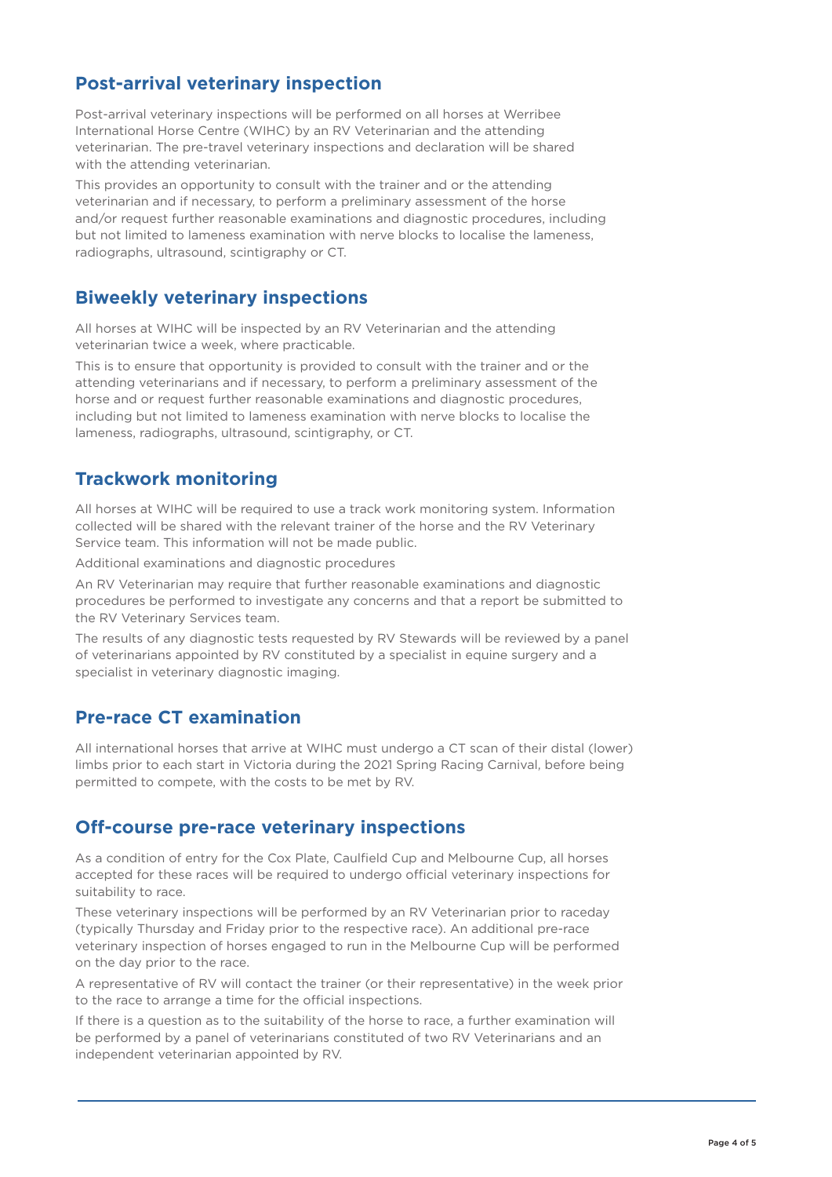# **Post-arrival veterinary inspection**

Post-arrival veterinary inspections will be performed on all horses at Werribee International Horse Centre (WIHC) by an RV Veterinarian and the attending veterinarian. The pre-travel veterinary inspections and declaration will be shared with the attending veterinarian.

This provides an opportunity to consult with the trainer and or the attending veterinarian and if necessary, to perform a preliminary assessment of the horse and/or request further reasonable examinations and diagnostic procedures, including but not limited to lameness examination with nerve blocks to localise the lameness, radiographs, ultrasound, scintigraphy or CT.

#### **Biweekly veterinary inspections**

All horses at WIHC will be inspected by an RV Veterinarian and the attending veterinarian twice a week, where practicable.

This is to ensure that opportunity is provided to consult with the trainer and or the attending veterinarians and if necessary, to perform a preliminary assessment of the horse and or request further reasonable examinations and diagnostic procedures, including but not limited to lameness examination with nerve blocks to localise the lameness, radiographs, ultrasound, scintigraphy, or CT.

#### **Trackwork monitoring**

All horses at WIHC will be required to use a track work monitoring system. Information collected will be shared with the relevant trainer of the horse and the RV Veterinary Service team. This information will not be made public.

Additional examinations and diagnostic procedures

An RV Veterinarian may require that further reasonable examinations and diagnostic procedures be performed to investigate any concerns and that a report be submitted to the RV Veterinary Services team.

The results of any diagnostic tests requested by RV Stewards will be reviewed by a panel of veterinarians appointed by RV constituted by a specialist in equine surgery and a specialist in veterinary diagnostic imaging.

#### **Pre-race CT examination**

All international horses that arrive at WIHC must undergo a CT scan of their distal (lower) limbs prior to each start in Victoria during the 2021 Spring Racing Carnival, before being permitted to compete, with the costs to be met by RV.

#### **Off-course pre-race veterinary inspections**

As a condition of entry for the Cox Plate, Caulfield Cup and Melbourne Cup, all horses accepted for these races will be required to undergo official veterinary inspections for suitability to race.

These veterinary inspections will be performed by an RV Veterinarian prior to raceday (typically Thursday and Friday prior to the respective race). An additional pre-race veterinary inspection of horses engaged to run in the Melbourne Cup will be performed on the day prior to the race.

A representative of RV will contact the trainer (or their representative) in the week prior to the race to arrange a time for the official inspections.

If there is a question as to the suitability of the horse to race, a further examination will be performed by a panel of veterinarians constituted of two RV Veterinarians and an independent veterinarian appointed by RV.